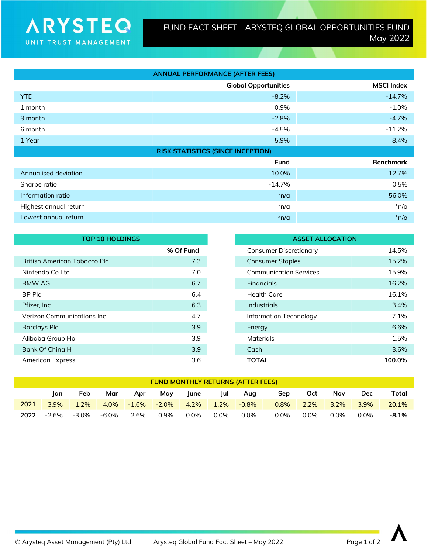| <b>ANNUAL PERFORMANCE (AFTER FEES)</b> |                                          |                   |  |  |  |
|----------------------------------------|------------------------------------------|-------------------|--|--|--|
|                                        | <b>Global Opportunities</b>              | <b>MSCI Index</b> |  |  |  |
| <b>YTD</b>                             | $-8.2%$                                  | $-14.7%$          |  |  |  |
| 1 month                                | 0.9%                                     | $-1.0%$           |  |  |  |
| 3 month                                | $-2.8%$                                  | $-4.7%$           |  |  |  |
| 6 month                                | $-4.5%$                                  | $-11.2%$          |  |  |  |
| 1 Year                                 | 5.9%                                     | 8.4%              |  |  |  |
|                                        |                                          |                   |  |  |  |
|                                        | <b>RISK STATISTICS (SINCE INCEPTION)</b> |                   |  |  |  |
|                                        | <b>Fund</b>                              | <b>Benchmark</b>  |  |  |  |
| Annualised deviation                   | 10.0%                                    | 12.7%             |  |  |  |
| Sharpe ratio                           | $-14.7\%$                                | 0.5%              |  |  |  |
| Information ratio                      | $*n/a$                                   | 56.0%             |  |  |  |
| Highest annual return                  | *n/a                                     | $*n/a$            |  |  |  |

| <b>TOP 10 HOLDINGS</b>             |           | <b>ASSET ALLOCATION</b>                |
|------------------------------------|-----------|----------------------------------------|
|                                    | % Of Fund | 14.5%<br><b>Consumer Discretionary</b> |
| British American Tobacco Plc       | 7.3       | <b>Consumer Staples</b><br>15.2%       |
| Nintendo Co Ltd                    | 7.0       | <b>Communication Services</b><br>15.9% |
| <b>BMW AG</b>                      | 6.7       | 16.2%<br><b>Financials</b>             |
| BP Plc                             | 6.4       | <b>Health Care</b><br>16.1%            |
| Pfizer, Inc.                       | 6.3       | <b>Industrials</b><br>3.4%             |
| <b>Verizon Communications Inc.</b> | 4.7       | <b>Information Technology</b><br>7.1%  |
| <b>Barclays Plc</b>                | 3.9       | 6.6%<br>Energy                         |
| Alibaba Group Ho                   | 3.9       | Materials<br>1.5%                      |
| Bank Of China H                    | 3.9       | 3.6%<br>Cash                           |
| <b>American Express</b>            | 3.6       | <b>TOTAL</b><br>100.0%                 |

| <b>FUND MONTHLY RETURNS (AFTER FEES)</b> |         |       |       |          |          |         |         |          |         |      |         |         |          |
|------------------------------------------|---------|-------|-------|----------|----------|---------|---------|----------|---------|------|---------|---------|----------|
|                                          | lan     | Feb   | Mar   | Apr      | May      | June    | Jul     | Aug      | Sep     | Oct  | Nov     | Dec     | Total    |
| 2021                                     | $3.9\%$ | 1.2%  | 4.0%  | $-1.6\%$ | $-2.0\%$ | 4.2%    | $1.2\%$ | $-0.8\%$ | $0.8\%$ | 2.2% | $3.2\%$ | $3.9\%$ | 20.1%    |
| 2022                                     | -2.6%   | -3.0% | -6.0% | 2.6%     | $0.9\%$  | $0.0\%$ | 0.0%    | $0.0\%$  | 0.0%    | 0.0% | $0.0\%$ | $0.0\%$ | $-8.1\%$ |